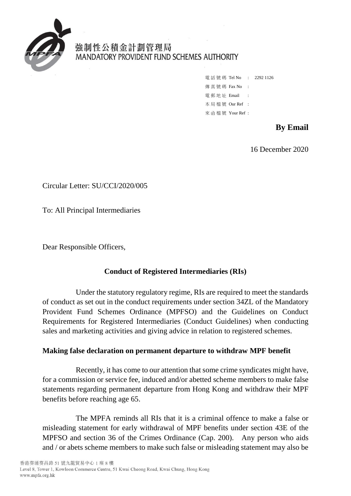

# 強制性公積金計劃管理局 MANDATORY PROVIDENT FUND SCHEMES AUTHORITY

|            |                    | 電話號碼 Tel No : 2292 1126 |
|------------|--------------------|-------------------------|
|            | 傳 真 號 碼 Fax No     |                         |
| 雷郵地址 Email |                    |                         |
|            | 本局檔號 Our Ref :     |                         |
|            | 來 函 檔 號 Your Ref : |                         |

## **By Email**

16 December 2020

Circular Letter: SU/CCI/2020/005

To: All Principal Intermediaries

Dear Responsible Officers,

## **Conduct of Registered Intermediaries (RIs)**

Under the statutory regulatory regime, RIs are required to meet the standards of conduct as set out in the conduct requirements under section 34ZL of the Mandatory Provident Fund Schemes Ordinance (MPFSO) and the Guidelines on Conduct Requirements for Registered Intermediaries (Conduct Guidelines) when conducting sales and marketing activities and giving advice in relation to registered schemes.

#### **Making false declaration on permanent departure to withdraw MPF benefit**

Recently, it has come to our attention that some crime syndicates might have, for a commission or service fee, induced and/or abetted scheme members to make false statements regarding permanent departure from Hong Kong and withdraw their MPF benefits before reaching age 65.

The MPFA reminds all RIs that it is a criminal offence to make a false or misleading statement for early withdrawal of MPF benefits under section 43E of the MPFSO and section 36 of the Crimes Ordinance (Cap. 200). Any person who aids and / or abets scheme members to make such false or misleading statement may also be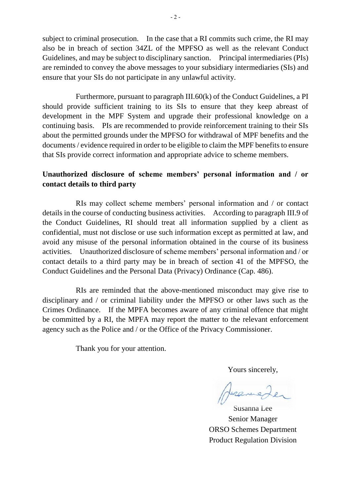subject to criminal prosecution. In the case that a RI commits such crime, the RI may also be in breach of section 34ZL of the MPFSO as well as the relevant Conduct Guidelines, and may be subject to disciplinary sanction. Principal intermediaries (PIs) are reminded to convey the above messages to your subsidiary intermediaries (SIs) and ensure that your SIs do not participate in any unlawful activity.

Furthermore, pursuant to paragraph III.60(k) of the Conduct Guidelines, a PI should provide sufficient training to its SIs to ensure that they keep abreast of development in the MPF System and upgrade their professional knowledge on a continuing basis. PIs are recommended to provide reinforcement training to their SIs about the permitted grounds under the MPFSO for withdrawal of MPF benefits and the documents / evidence required in order to be eligible to claim the MPF benefits to ensure that SIs provide correct information and appropriate advice to scheme members.

### **Unauthorized disclosure of scheme members' personal information and / or contact details to third party**

RIs may collect scheme members' personal information and / or contact details in the course of conducting business activities. According to paragraph III.9 of the Conduct Guidelines, RI should treat all information supplied by a client as confidential, must not disclose or use such information except as permitted at law, and avoid any misuse of the personal information obtained in the course of its business activities. Unauthorized disclosure of scheme members' personal information and / or contact details to a third party may be in breach of section 41 of the MPFSO, the Conduct Guidelines and the Personal Data (Privacy) Ordinance (Cap. 486).

RIs are reminded that the above-mentioned misconduct may give rise to disciplinary and / or criminal liability under the MPFSO or other laws such as the Crimes Ordinance. If the MPFA becomes aware of any criminal offence that might be committed by a RI, the MPFA may report the matter to the relevant enforcement agency such as the Police and / or the Office of the Privacy Commissioner.

Thank you for your attention.

Yours sincerely,

Juranne

Susanna Lee Senior Manager ORSO Schemes Department Product Regulation Division